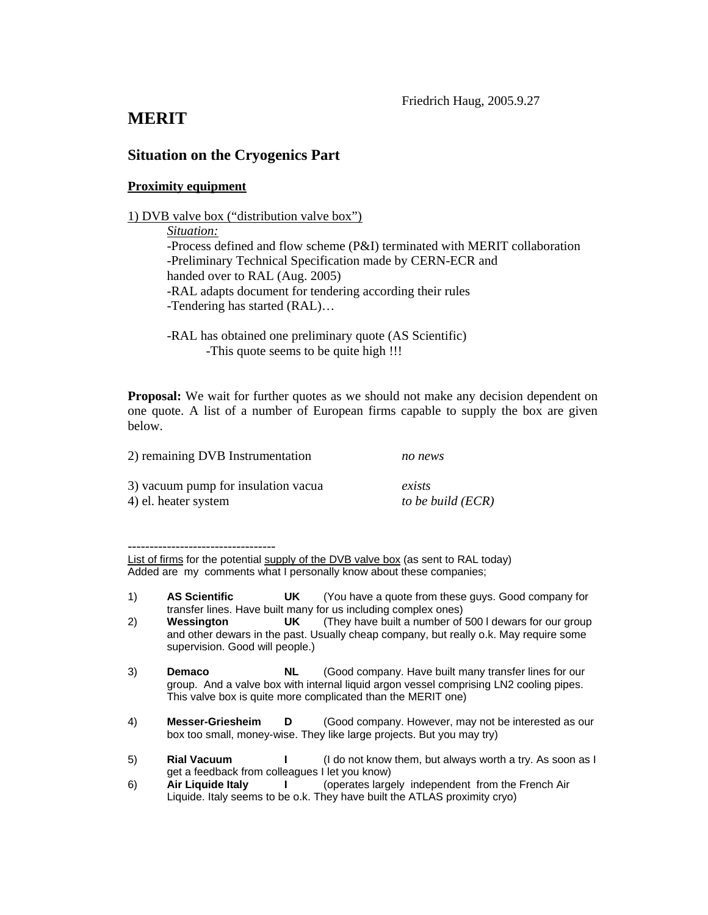## **MERIT**

## **Situation on the Cryogenics Part**

## **Proximity equipment**

*Situation:*  -Process defined and flow scheme (P&I) terminated with MERIT collaboration -Preliminary Technical Specification made by CERN-ECR and handed over to RAL (Aug. 2005) -RAL adapts document for tendering according their rules -Tendering has started (RAL)…

-RAL has obtained one preliminary quote (AS Scientific) -This quote seems to be quite high !!!

**Proposal:** We wait for further quotes as we should not make any decision dependent on one quote. A list of a number of European firms capable to supply the box are given below.

| 2) remaining DVB Instrumentation    | no news             |  |
|-------------------------------------|---------------------|--|
| 3) vacuum pump for insulation vacua | exists              |  |
| 4) el. heater system                | to be build $(ECR)$ |  |

----------------------------------

List of firms for the potential supply of the DVB valve box (as sent to RAL today) Added are my comments what I personally know about these companies;

- 1) **AS Scientific UK** (You have a quote from these guys. Good company for transfer lines. Have built many for us including complex ones)
- 2) **Wessington UK** (They have built a number of 500 l dewars for our group and other dewars in the past. Usually cheap company, but really o.k. May require some supervision. Good will people.)
- 3) **Demaco NL** (Good company. Have built many transfer lines for our group. And a valve box with internal liquid argon vessel comprising LN2 cooling pipes. This valve box is quite more complicated than the MERIT one)
- 4) **Messer-Griesheim D** (Good company. However, may not be interested as our box too small, money-wise. They like large projects. But you may try)

<sup>5)</sup> **Rial Vacuum I** (I do not know them, but always worth a try. As soon as I get a feedback from colleagues I let you know)

<sup>6)</sup> **Air Liquide Italy I** (operates largely independent from the French Air Liquide. Italy seems to be o.k. They have built the ATLAS proximity cryo)